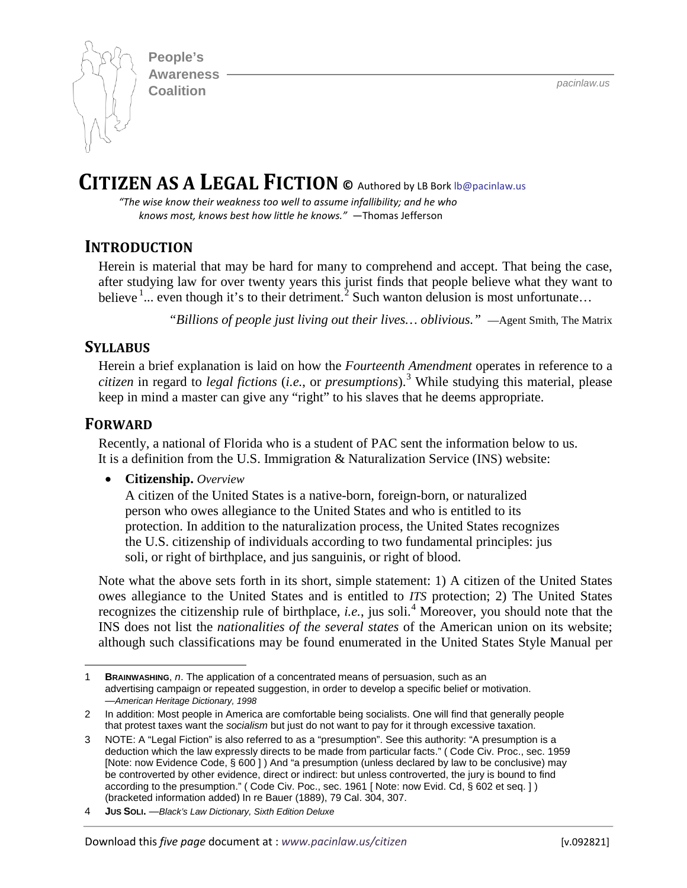**People's Awareness Coalition** *pacinlaw.us*



# **CITIZEN AS A LEGAL FICTION ©** Authored by LB Bork [lb@pacinlaw.us](mailto:lb@pacinlaw.us)

*"The wise know their weakness too well to assume infallibility; and he who knows most, knows best how little he knows."* —Thomas Jefferson

# **INTRODUCTION**

Herein is material that may be hard for many to comprehend and accept. That being the case, after studying law for over twenty years this jurist finds that people believe what they want to believe  $\frac{1}{2}$  $\frac{1}{2}$  $\frac{1}{2}$  $\frac{1}{2}$  $\frac{1}{2}$  even though it's to their detriment.<sup>2</sup> Such wanton delusion is most unfortunate...

*"Billions of people just living out their lives… oblivious."* —Agent Smith, The Matrix

### **SYLLABUS**

Herein a brief explanation is laid on how the *Fourteenth Amendment* operates in reference to a *citizen* in regard to *legal fictions* (*i.e.*, or *presumptions*).[3](#page-0-2) While studying this material, please keep in mind a master can give any "right" to his slaves that he deems appropriate.

### **FORWARD**

Recently, a national of Florida who is a student of PAC sent the information below to us. It is a definition from the U.S. Immigration & Naturalization Service (INS) website:

• **Citizenship.** *Overview*

A citizen of the United States is a native-born, foreign-born, or naturalized person who owes allegiance to the United States and who is entitled to its protection. In addition to the naturalization process, the United States recognizes the U.S. citizenship of individuals according to two fundamental principles: jus soli, or right of birthplace, and jus sanguinis, or right of blood.

Note what the above sets forth in its short, simple statement: 1) A citizen of the United States owes allegiance to the United States and is entitled to *ITS* protection; 2) The United States recognizes the citizenship rule of birthplace, *i.e.*, jus soli.[4](#page-0-3) Moreover, you should note that the INS does not list the *nationalities of the several states* of the American union on its website; although such classifications may be found enumerated in the United States Style Manual per

<span id="page-0-0"></span> $\overline{a}$ 1 **BRAINWASHING**, *n*. The application of a concentrated means of persuasion, such as an advertising campaign or repeated suggestion, in order to develop a specific belief or motivation. —*American Heritage Dictionary, 1998*

<span id="page-0-1"></span><sup>2</sup> In addition: Most people in America are comfortable being socialists. One will find that generally people that protest taxes want the *socialism* but just do not want to pay for it through excessive taxation.

<span id="page-0-2"></span><sup>3</sup> NOTE: A "Legal Fiction" is also referred to as a "presumption". See this authority: "A presumption is a deduction which the law expressly directs to be made from particular facts." ( Code Civ. Proc., sec. 1959 [Note: now Evidence Code, § 600 ] ) And "a presumption (unless declared by law to be conclusive) may be controverted by other evidence, direct or indirect: but unless controverted, the jury is bound to find according to the presumption." ( Code Civ. Poc., sec. 1961 [ Note: now Evid. Cd, § 602 et seq. ] ) (bracketed information added) In re Bauer (1889), 79 Cal. 304, 307.

<span id="page-0-3"></span><sup>4</sup> **JUS SOLI.** —*Black's Law Dictionary, Sixth Edition Deluxe*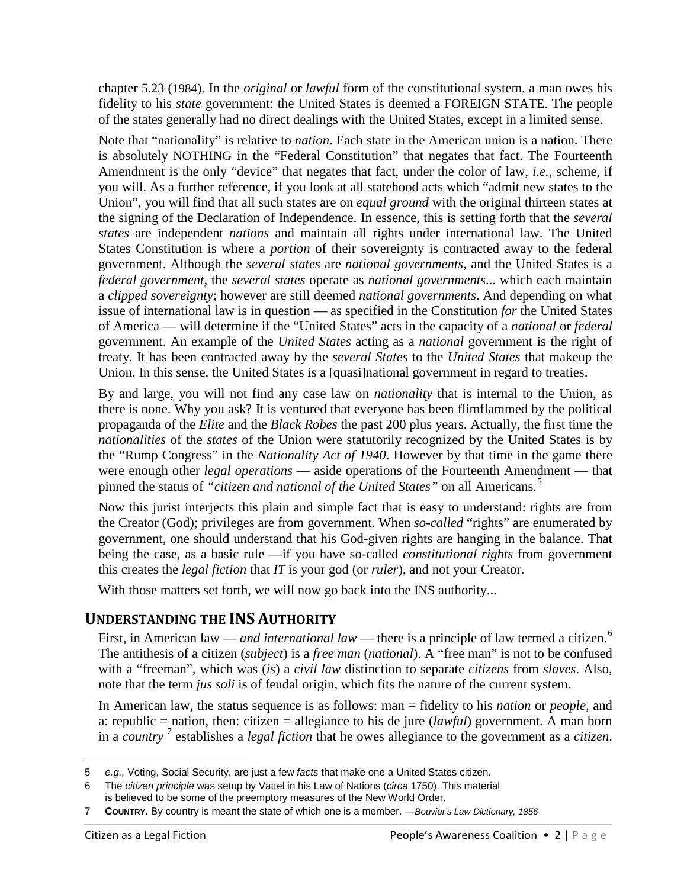chapter 5.23 (1984). In the *original* or *lawful* form of the constitutional system, a man owes his fidelity to his *state* government: the United States is deemed a FOREIGN STATE. The people of the states generally had no direct dealings with the United States, except in a limited sense.

Note that "nationality" is relative to *nation*. Each state in the American union is a nation. There is absolutely NOTHING in the "Federal Constitution" that negates that fact. The Fourteenth Amendment is the only "device" that negates that fact, under the color of law, *i.e.,* scheme, if you will. As a further reference, if you look at all statehood acts which "admit new states to the Union", you will find that all such states are on *equal ground* with the original thirteen states at the signing of the Declaration of Independence. In essence, this is setting forth that the *several states* are independent *nations* and maintain all rights under international law. The United States Constitution is where a *portion* of their sovereignty is contracted away to the federal government. Although the *several states* are *national governments*, and the United States is a *federal government*, the *several states* operate as *national governments*... which each maintain a *clipped sovereignty*; however are still deemed *national governments*. And depending on what issue of international law is in question — as specified in the Constitution *for* the United States of America — will determine if the "United States" acts in the capacity of a *national* or *federal* government. An example of the *United States* acting as a *national* government is the right of treaty. It has been contracted away by the *several States* to the *United States* that makeup the Union. In this sense, the United States is a [quasi]national government in regard to treaties.

By and large, you will not find any case law on *nationality* that is internal to the Union, as there is none. Why you ask? It is ventured that everyone has been flimflammed by the political propaganda of the *Elite* and the *Black Robes* the past 200 plus years. Actually, the first time the *nationalities* of the *states* of the Union were statutorily recognized by the United States is by the "Rump Congress" in the *Nationality Act of 1940*. However by that time in the game there were enough other *legal operations* — aside operations of the Fourteenth Amendment — that pinned the status of *"citizen and national of the United States"* on all Americans. [5](#page-1-0)

Now this jurist interjects this plain and simple fact that is easy to understand: rights are from the Creator (God); privileges are from government. When *so-called* "rights" are enumerated by government, one should understand that his God-given rights are hanging in the balance. That being the case, as a basic rule —if you have so-called *constitutional rights* from government this creates the *legal fiction* that *IT* is your god (or *ruler*), and not your Creator.

With those matters set forth, we will now go back into the INS authority...

# **UNDERSTANDING THE INS AUTHORITY**

First, in American law — *and international law* — there is a principle of law termed a citizen.<sup>[6](#page-1-1)</sup> The antithesis of a citizen (*subject*) is a *free man* (*national*). A "free man" is not to be confused with a "freeman", which was (*is*) a *civil law* distinction to separate *citizens* from *slaves*. Also, note that the term *jus soli* is of feudal origin, which fits the nature of the current system.

In American law, the status sequence is as follows: man = fidelity to his *nation* or *people*, and a: republic = nation, then: citizen = allegiance to his de jure (*lawful*) government. A man born in a *country* [7](#page-1-2) establishes a *legal fiction* that he owes allegiance to the government as a *citizen*.

 $\overline{a}$ 5 *e.g.,* Voting, Social Security, are just a few *facts* that make one a United States citizen.

<span id="page-1-1"></span><span id="page-1-0"></span><sup>6</sup> The *citizen principle* was setup by Vattel in his Law of Nations (*circa* 1750). This material is believed to be some of the preemptory measures of the New World Order.

<span id="page-1-2"></span><sup>7</sup> **COUNTRY.** By country is meant the state of which one is a member. —*Bouvier's Law Dictionary, 1856*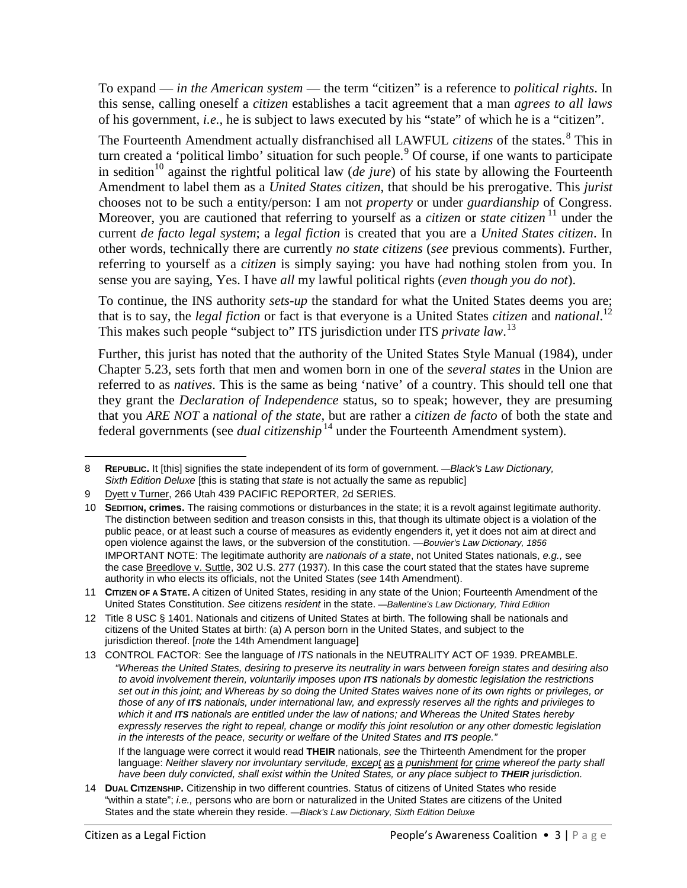To expand — *in the American system* — the term "citizen" is a reference to *political rights*. In this sense, calling oneself a *citizen* establishes a tacit agreement that a man *agrees to all laws*  of his government, *i.e.,* he is subject to laws executed by his "state" of which he is a "citizen".

The Fourteenth Amendment actually disfranchised all LAWFUL *citizens* of the states.[8](#page-2-0) This in turn created a 'political limbo' situation for such people.<sup>[9](#page-2-1)</sup> Of course, if one wants to participate in sedition<sup>[10](#page-2-2)</sup> against the rightful political law (*de jure*) of his state by allowing the Fourteenth Amendment to label them as a *United States citizen*, that should be his prerogative. This *jurist* chooses not to be such a entity/person: I am not *property* or under *guardianship* of Congress. Moreover, you are cautioned that referring to yourself as a *citizen* or *state citizen* <sup>[11](#page-2-3)</sup> under the current *de facto legal system*; a *legal fiction* is created that you are a *United States citizen*. In other words, technically there are currently *no state citizens* (*see* previous comments). Further, referring to yourself as a *citizen* is simply saying: you have had nothing stolen from you. In sense you are saying, Yes. I have *all* my lawful political rights (*even though you do not*).

To continue, the INS authority *sets-up* the standard for what the United States deems you are; that is to say, the *legal fiction* or fact is that everyone is a United States *citizen* and *national*. [12](#page-2-4) This makes such people "subject to" ITS jurisdiction under ITS *private law*. [13](#page-2-5)

Further, this jurist has noted that the authority of the United States Style Manual (1984), under Chapter 5.23, sets forth that men and women born in one of the *several states* in the Union are referred to as *natives*. This is the same as being 'native' of a country. This should tell one that they grant the *Declaration of Independence* status, so to speak; however, they are presuming that you *ARE NOT* a *national of the state*, but are rather a *citizen de facto* of both the state and federal governments (see *dual citizenship*<sup>[14](#page-2-6)</sup> under the Fourteenth Amendment system).

If the language were correct it would read **THEIR** nationals, *see* the Thirteenth Amendment for the proper language: *Neither slavery nor involuntary servitude, except as a punishment for crime whereof the party shall have been duly convicted, shall exist within the United States, or any place subject to THEIR jurisdiction.*

<span id="page-2-0"></span> $\overline{a}$ 8 **REPUBLIC.** It [this] signifies the state independent of its form of government. —*Black's Law Dictionary, Sixth Edition Deluxe* [this is stating that *state* is not actually the same as republic]

<span id="page-2-1"></span><sup>9</sup> Dyett v Turner, 266 Utah 439 PACIFIC REPORTER, 2d SERIES.

<span id="page-2-2"></span><sup>10</sup> **SEDITION, crimes.** The raising commotions or disturbances in the state; it is a revolt against legitimate authority. The distinction between sedition and treason consists in this, that though its ultimate object is a violation of the public peace, or at least such a course of measures as evidently engenders it, yet it does not aim at direct and open violence against the laws, or the subversion of the constitution. —*Bouvier's Law Dictionary, 1856* IMPORTANT NOTE: The legitimate authority are *nationals of a state*, not United States nationals, *e.g.,* see the case Breedlove v. Suttle, 302 U.S. 277 (1937). In this case the court stated that the states have supreme authority in who elects its officials, not the United States (*see* 14th Amendment).

<span id="page-2-3"></span><sup>11</sup> **CITIZEN OF A STATE.** A citizen of United States, residing in any state of the Union; Fourteenth Amendment of the United States Constitution. *See* citizens *resident* in the state. —*Ballentine's Law Dictionary, Third Edition*

<span id="page-2-4"></span><sup>12</sup> Title 8 USC § 1401. Nationals and citizens of United States at birth. The following shall be nationals and citizens of the United States at birth: (a) A person born in the United States, and subject to the jurisdiction thereof. [*note* the 14th Amendment language]

<span id="page-2-5"></span><sup>13</sup> CONTROL FACTOR: See the language of *ITS* nationals in the NEUTRALITY ACT OF 1939. PREAMBLE. *"Whereas the United States, desiring to preserve its neutrality in wars between foreign states and desiring also to avoid involvement therein, voluntarily imposes upon ITS nationals by domestic legislation the restrictions set out in this joint; and Whereas by so doing the United States waives none of its own rights or privileges, or those of any of ITS nationals, under international law, and expressly reserves all the rights and privileges to which it and ITS nationals are entitled under the law of nations; and Whereas the United States hereby*  expressly reserves the right to repeal, change or modify this joint resolution or any other domestic legislation *in the interests of the peace, security or welfare of the United States and ITS people."*

<span id="page-2-6"></span><sup>14</sup> **DUAL CITIZENSHIP.** Citizenship in two different countries. Status of citizens of United States who reside "within a state"; *i.e.,* persons who are born or naturalized in the United States are citizens of the United States and the state wherein they reside. —*Black's Law Dictionary, Sixth Edition Deluxe*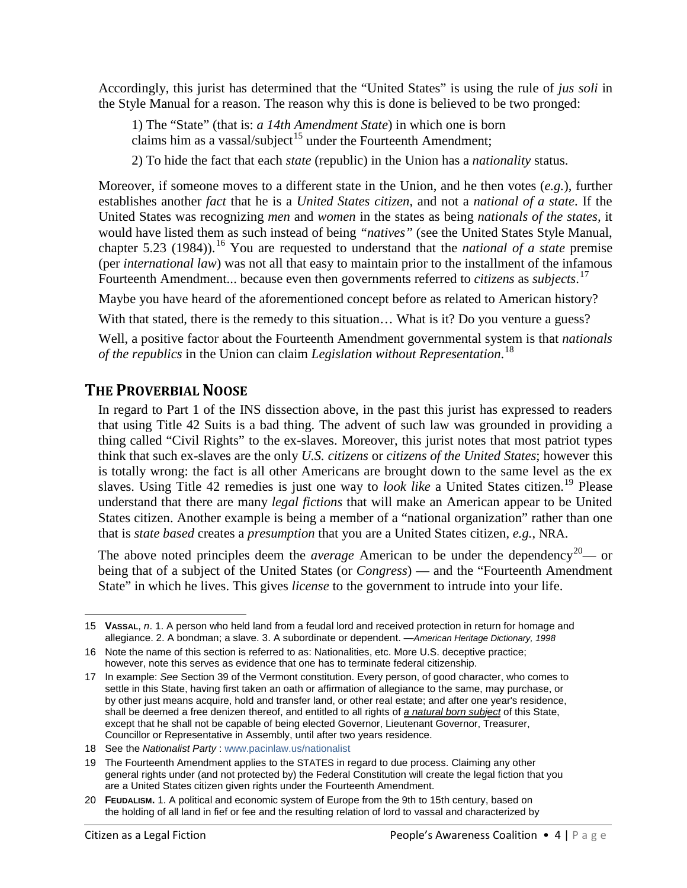Accordingly, this jurist has determined that the "United States" is using the rule of *jus soli* in the Style Manual for a reason. The reason why this is done is believed to be two pronged:

1) The "State" (that is: *a 14th Amendment State*) in which one is born claims him as a vassal/subject<sup>[15](#page-3-0)</sup> under the Fourteenth Amendment;

2) To hide the fact that each *state* (republic) in the Union has a *nationality* status.

Moreover, if someone moves to a different state in the Union, and he then votes (*e.g.*), further establishes another *fact* that he is a *United States citizen*, and not a *national of a state*. If the United States was recognizing *men* and *women* in the states as being *nationals of the states,* it would have listed them as such instead of being *"natives"* (see the United States Style Manual, chapter 5.23 (1984)). [16](#page-3-1) You are requested to understand that the *national of a state* premise (per *international law*) was not all that easy to maintain prior to the installment of the infamous Fourteenth Amendment... because even then governments referred to *citizens* as *subjects*. [17](#page-3-2)

Maybe you have heard of the aforementioned concept before as related to American history?

With that stated, there is the remedy to this situation... What is it? Do you venture a guess?

Well, a positive factor about the Fourteenth Amendment governmental system is that *nationals of the republics* in the Union can claim *Legislation without Representation*. [18](#page-3-3)

# **THE PROVERBIAL NOOSE**

In regard to Part 1 of the INS dissection above, in the past this jurist has expressed to readers that using Title 42 Suits is a bad thing. The advent of such law was grounded in providing a thing called "Civil Rights" to the ex-slaves. Moreover, this jurist notes that most patriot types think that such ex-slaves are the only *U.S. citizens* or *citizens of the United States*; however this is totally wrong: the fact is all other Americans are brought down to the same level as the ex slaves. Using Title 42 remedies is just one way to *look like* a United States citizen.<sup>[19](#page-3-4)</sup> Please understand that there are many *legal fictions* that will make an American appear to be United States citizen. Another example is being a member of a "national organization" rather than one that is *state based* creates a *presumption* that you are a United States citizen, *e.g.*, NRA.

The above noted principles deem the *average* American to be under the dependency<sup>[20](#page-3-5)</sup>— or being that of a subject of the United States (or *Congress*) — and the "Fourteenth Amendment State" in which he lives. This gives *license* to the government to intrude into your life.

<span id="page-3-0"></span> $\overline{a}$ 15 **VASSAL**, *n*. 1. A person who held land from a feudal lord and received protection in return for homage and allegiance. 2. A bondman; a slave. 3. A subordinate or dependent. —*American Heritage Dictionary, 1998*

<span id="page-3-1"></span><sup>16</sup> Note the name of this section is referred to as: Nationalities, etc. More U.S. deceptive practice; however, note this serves as evidence that one has to terminate federal citizenship.

<span id="page-3-2"></span><sup>17</sup> In example: *See* Section 39 of the Vermont constitution. Every person, of good character, who comes to settle in this State, having first taken an oath or affirmation of allegiance to the same, may purchase, or by other just means acquire, hold and transfer land, or other real estate; and after one year's residence, shall be deemed a free denizen thereof, and entitled to all rights of *a natural born subject* of this State, except that he shall not be capable of being elected Governor, Lieutenant Governor, Treasurer, Councillor or Representative in Assembly, until after two years residence.

<span id="page-3-3"></span><sup>18</sup> See the *Nationalist Party* : [www.pacinlaw.us/nationalist](https://www.pacinlaw.us/nationalist)

<span id="page-3-4"></span><sup>19</sup> The Fourteenth Amendment applies to the STATES in regard to due process. Claiming any other general rights under (and not protected by) the Federal Constitution will create the legal fiction that you are a United States citizen given rights under the Fourteenth Amendment.

<span id="page-3-5"></span><sup>20</sup> **FEUDALISM.** 1. A political and economic system of Europe from the 9th to 15th century, based on the holding of all land in fief or fee and the resulting relation of lord to vassal and characterized by